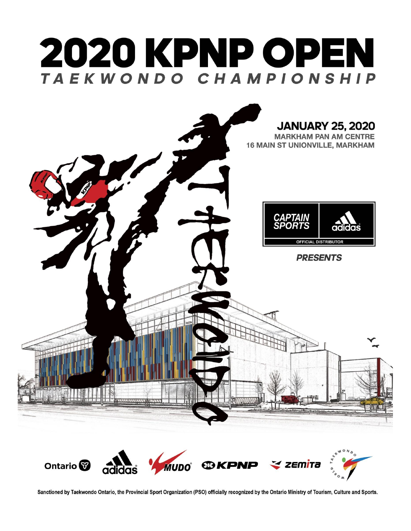

Sanctioned by Taekwondo Ontario, the Provincial Sport Organization (PSO) officially recognized by the Ontario Ministry of Tourism, Culture and Sports.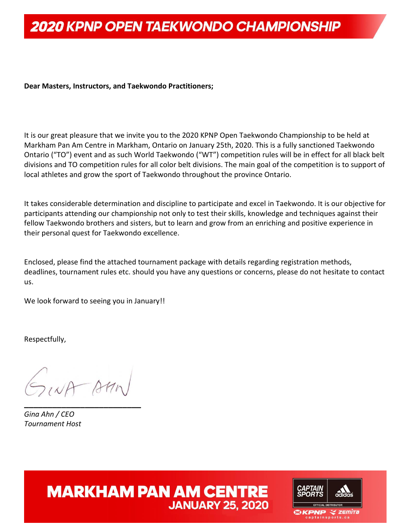#### **Dear Masters, Instructors, and Taekwondo Practitioners;**

It is our great pleasure that we invite you to the 2020 KPNP Open Taekwondo Championship to be held at Markham Pan Am Centre in Markham, Ontario on January 25th, 2020. This is a fully sanctioned Taekwondo Ontario ("TO") event and as such World Taekwondo ("WT") competition rules will be in effect for all black belt divisions and TO competition rules for all color belt divisions. The main goal of the competition is to support of local athletes and grow the sport of Taekwondo throughout the province Ontario.

It takes considerable determination and discipline to participate and excel in Taekwondo. It is our objective for participants attending our championship not only to test their skills, knowledge and techniques against their fellow Taekwondo brothers and sisters, but to learn and grow from an enriching and positive experience in their personal quest for Taekwondo excellence.

Enclosed, please find the attached tournament package with details regarding registration methods, deadlines, tournament rules etc. should you have any questions or concerns, please do not hesitate to contact us.

We look forward to seeing you in January!!

Respectfully,

GINA AMM **\_\_\_\_\_\_\_\_\_\_\_\_\_\_\_\_\_\_\_\_\_\_\_\_\_**

*Gina Ahn / CEO Tournament Host*

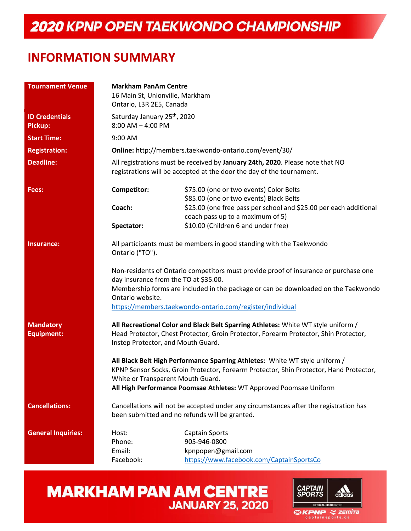#### **INFORMATION SUMMARY**

| <b>Tournament Venue</b>               | <b>Markham PanAm Centre</b>                                       |                                                                                                                                                                                                                                             |  |  |  |
|---------------------------------------|-------------------------------------------------------------------|---------------------------------------------------------------------------------------------------------------------------------------------------------------------------------------------------------------------------------------------|--|--|--|
|                                       | 16 Main St, Unionville, Markham                                   |                                                                                                                                                                                                                                             |  |  |  |
|                                       | Ontario, L3R 2E5, Canada                                          |                                                                                                                                                                                                                                             |  |  |  |
| <b>ID Credentials</b><br>Pickup:      | Saturday January 25 <sup>th</sup> , 2020<br>$8:00$ AM $-$ 4:00 PM |                                                                                                                                                                                                                                             |  |  |  |
| <b>Start Time:</b>                    | 9:00 AM                                                           |                                                                                                                                                                                                                                             |  |  |  |
| <b>Registration:</b>                  |                                                                   | Online: http://members.taekwondo-ontario.com/event/30/                                                                                                                                                                                      |  |  |  |
| <b>Deadline:</b>                      |                                                                   | All registrations must be received by January 24th, 2020. Please note that NO<br>registrations will be accepted at the door the day of the tournament.                                                                                      |  |  |  |
| Fees:                                 | Competitor:                                                       | \$75.00 (one or two events) Color Belts<br>\$85.00 (one or two events) Black Belts                                                                                                                                                          |  |  |  |
|                                       | Coach:                                                            | \$25.00 (one free pass per school and \$25.00 per each additional                                                                                                                                                                           |  |  |  |
|                                       |                                                                   | coach pass up to a maximum of 5)                                                                                                                                                                                                            |  |  |  |
|                                       | Spectator:                                                        | \$10.00 (Children 6 and under free)                                                                                                                                                                                                         |  |  |  |
| Insurance:                            | Ontario ("TO").                                                   | All participants must be members in good standing with the Taekwondo                                                                                                                                                                        |  |  |  |
|                                       |                                                                   | Non-residents of Ontario competitors must provide proof of insurance or purchase one<br>day insurance from the TO at \$35.00.                                                                                                               |  |  |  |
|                                       | Ontario website.                                                  | Membership forms are included in the package or can be downloaded on the Taekwondo                                                                                                                                                          |  |  |  |
|                                       |                                                                   | https://members.taekwondo-ontario.com/register/individual                                                                                                                                                                                   |  |  |  |
| <b>Mandatory</b><br><b>Equipment:</b> | Instep Protector, and Mouth Guard.                                | All Recreational Color and Black Belt Sparring Athletes: White WT style uniform /<br>Head Protector, Chest Protector, Groin Protector, Forearm Protector, Shin Protector,                                                                   |  |  |  |
|                                       | White or Transparent Mouth Guard.                                 | All Black Belt High Performance Sparring Athletes: White WT style uniform /<br>KPNP Sensor Socks, Groin Protector, Forearm Protector, Shin Protector, Hand Protector,<br>All High Performance Poomsae Athletes: WT Approved Poomsae Uniform |  |  |  |
| <b>Cancellations:</b>                 |                                                                   | Cancellations will not be accepted under any circumstances after the registration has<br>been submitted and no refunds will be granted.                                                                                                     |  |  |  |
| <b>General Inquiries:</b>             | Host:<br>Phone:<br>Email:                                         | <b>Captain Sports</b><br>905-946-0800<br>kpnpopen@gmail.com                                                                                                                                                                                 |  |  |  |
|                                       | Facebook:                                                         | https://www.facebook.com/CaptainSportsCo                                                                                                                                                                                                    |  |  |  |

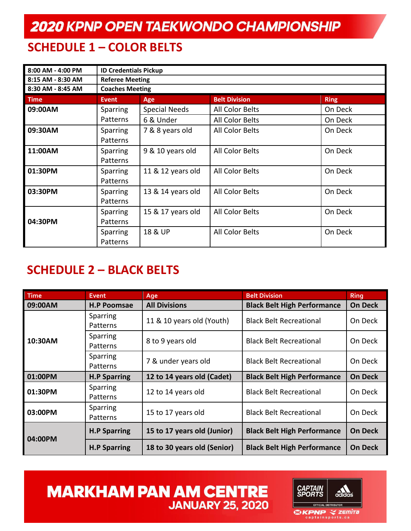### **SCHEDULE 1 – COLOR BELTS**

| 8:00 AM - 4:00 PM | <b>ID Credentials Pickup</b> |                                            |                 |         |  |  |  |  |
|-------------------|------------------------------|--------------------------------------------|-----------------|---------|--|--|--|--|
| 8:15 AM - 8:30 AM | <b>Referee Meeting</b>       |                                            |                 |         |  |  |  |  |
| 8:30 AM - 8:45 AM | <b>Coaches Meeting</b>       |                                            |                 |         |  |  |  |  |
| <b>Time</b>       | <b>Event</b>                 | <b>Belt Division</b><br><b>Ring</b><br>Age |                 |         |  |  |  |  |
| 09:00AM           | Sparring                     | <b>Special Needs</b>                       | All Color Belts | On Deck |  |  |  |  |
|                   | Patterns                     | 6 & Under                                  | All Color Belts | On Deck |  |  |  |  |
| 09:30AM           | <b>Sparring</b><br>Patterns  | 7 & 8 years old                            | All Color Belts | On Deck |  |  |  |  |
| 11:00AM           | <b>Sparring</b><br>Patterns  | 9 & 10 years old                           | All Color Belts | On Deck |  |  |  |  |
| 01:30PM           | <b>Sparring</b><br>Patterns  | 11 & 12 years old                          | All Color Belts | On Deck |  |  |  |  |
| 03:30PM           | <b>Sparring</b><br>Patterns  | 13 & 14 years old                          | All Color Belts | On Deck |  |  |  |  |
| 04:30PM           | Sparring<br>Patterns         | 15 & 17 years old                          | All Color Belts | On Deck |  |  |  |  |
|                   | <b>Sparring</b><br>Patterns  | 18 & UP                                    | All Color Belts | On Deck |  |  |  |  |

#### **SCHEDULE 2 – BLACK BELTS**

| <b>Time</b> | <b>Event</b>         | Age                                                              | <b>Belt Division</b>               | <b>Ring</b>    |
|-------------|----------------------|------------------------------------------------------------------|------------------------------------|----------------|
| 09:00AM     | <b>H.P Poomsae</b>   | <b>All Divisions</b>                                             | <b>Black Belt High Performance</b> | <b>On Deck</b> |
|             | Sparring<br>Patterns | 11 & 10 years old (Youth)                                        | <b>Black Belt Recreational</b>     | On Deck        |
| 10:30AM     | Sparring<br>Patterns | 8 to 9 years old                                                 | <b>Black Belt Recreational</b>     | On Deck        |
|             | Sparring<br>Patterns | 7 & under years old                                              | <b>Black Belt Recreational</b>     | On Deck        |
| 01:00PM     | <b>H.P Sparring</b>  | 12 to 14 years old (Cadet)<br><b>Black Belt High Performance</b> |                                    | <b>On Deck</b> |
| 01:30PM     | Sparring<br>Patterns | 12 to 14 years old                                               | <b>Black Belt Recreational</b>     | On Deck        |
| 03:00PM     | Sparring<br>Patterns | 15 to 17 years old                                               | <b>Black Belt Recreational</b>     | On Deck        |
| 04:00PM     | <b>H.P Sparring</b>  | 15 to 17 years old (Junior)                                      | <b>Black Belt High Performance</b> | <b>On Deck</b> |
|             | <b>H.P Sparring</b>  | 18 to 30 years old (Senior)                                      | <b>Black Belt High Performance</b> | <b>On Deck</b> |

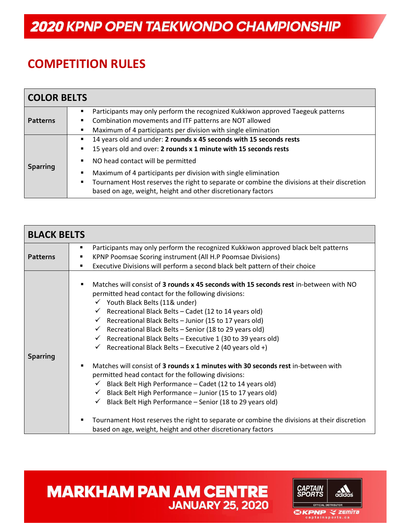### **COMPETITION RULES**

| <b>COLOR BELTS</b> |                                                                                                                                                                                                                                                                                                                                                                   |
|--------------------|-------------------------------------------------------------------------------------------------------------------------------------------------------------------------------------------------------------------------------------------------------------------------------------------------------------------------------------------------------------------|
| <b>Patterns</b>    | Participants may only perform the recognized Kukkiwon approved Taegeuk patterns<br>٠<br>Combination movements and ITF patterns are NOT allowed<br>٠<br>Maximum of 4 participants per division with single elimination<br>$\blacksquare$                                                                                                                           |
| <b>Sparring</b>    | 14 years old and under: 2 rounds x 45 seconds with 15 seconds rests<br>٠<br>15 years old and over: 2 rounds x 1 minute with 15 seconds rests<br>٠<br>NO head contact will be permitted<br>Maximum of 4 participants per division with single elimination<br>٠<br>Tournament Host reserves the right to separate or combine the divisions at their discretion<br>٠ |
|                    | based on age, weight, height and other discretionary factors                                                                                                                                                                                                                                                                                                      |

| <b>BLACK BELTS</b> |                                                                                                                                                                                                                                                                                                                                                                                                                                                                                                                                                                                  |
|--------------------|----------------------------------------------------------------------------------------------------------------------------------------------------------------------------------------------------------------------------------------------------------------------------------------------------------------------------------------------------------------------------------------------------------------------------------------------------------------------------------------------------------------------------------------------------------------------------------|
|                    | Participants may only perform the recognized Kukkiwon approved black belt patterns<br>٠                                                                                                                                                                                                                                                                                                                                                                                                                                                                                          |
| <b>Patterns</b>    | KPNP Poomsae Scoring instrument (All H.P Poomsae Divisions)                                                                                                                                                                                                                                                                                                                                                                                                                                                                                                                      |
|                    | Executive Divisions will perform a second black belt pattern of their choice                                                                                                                                                                                                                                                                                                                                                                                                                                                                                                     |
| <b>Sparring</b>    | Matches will consist of 3 rounds x 45 seconds with 15 seconds rest in-between with NO<br>٠<br>permitted head contact for the following divisions:<br>$\checkmark$ Youth Black Belts (11& under)<br>$\checkmark$ Recreational Black Belts – Cadet (12 to 14 years old)<br>Recreational Black Belts - Junior (15 to 17 years old)<br>$\checkmark$<br>Recreational Black Belts - Senior (18 to 29 years old)<br>$\checkmark$<br>Recreational Black Belts - Executive 1 (30 to 39 years old)<br>$\checkmark$<br>$\checkmark$ Recreational Black Belts – Executive 2 (40 years old +) |
|                    | Matches will consist of 3 rounds x 1 minutes with 30 seconds rest in-between with<br>٠                                                                                                                                                                                                                                                                                                                                                                                                                                                                                           |
|                    | permitted head contact for the following divisions:<br>Black Belt High Performance - Cadet (12 to 14 years old)<br>$\checkmark$                                                                                                                                                                                                                                                                                                                                                                                                                                                  |
|                    | $\checkmark$                                                                                                                                                                                                                                                                                                                                                                                                                                                                                                                                                                     |
|                    | Black Belt High Performance - Junior (15 to 17 years old)                                                                                                                                                                                                                                                                                                                                                                                                                                                                                                                        |
|                    | Black Belt High Performance - Senior (18 to 29 years old)                                                                                                                                                                                                                                                                                                                                                                                                                                                                                                                        |
|                    | Tournament Host reserves the right to separate or combine the divisions at their discretion<br>٠                                                                                                                                                                                                                                                                                                                                                                                                                                                                                 |
|                    | based on age, weight, height and other discretionary factors                                                                                                                                                                                                                                                                                                                                                                                                                                                                                                                     |

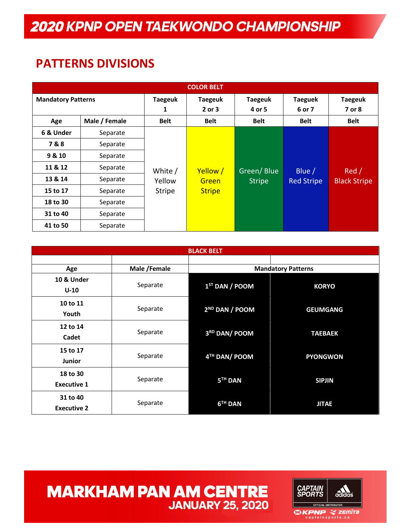#### **PATTERNS DIVISIONS**

| <b>COLOR BELT</b>         |          |                     |                          |                          |                          |                          |  |
|---------------------------|----------|---------------------|--------------------------|--------------------------|--------------------------|--------------------------|--|
| <b>Mandatory Patterns</b> |          | <b>Taegeuk</b><br>1 | <b>Taegeuk</b><br>2 or 3 | <b>Taegeuk</b><br>4 or 5 | <b>Taeguek</b><br>6 or 7 | <b>Taegeuk</b><br>7 or 8 |  |
| Male / Female<br>Age      |          | <b>Belt</b>         | <b>Belt</b>              | <b>Belt</b>              | <b>Belt</b>              | <b>Belt</b>              |  |
| 6 & Under                 | Separate |                     |                          |                          |                          |                          |  |
| 7&8                       | Separate |                     |                          |                          |                          |                          |  |
| 9 & 10                    | Separate |                     |                          |                          |                          |                          |  |
| 11 & 12                   | Separate | White /             | Yellow /                 | Green/Blue               | Blue $/$                 | Red/                     |  |
| 13 & 14                   | Separate | Yellow              | Green                    | <b>Stripe</b>            | <b>Red Stripe</b>        | <b>Black Stripe</b>      |  |
| 15 to 17                  | Separate | <b>Stripe</b>       | <b>Stripe</b>            |                          |                          |                          |  |
| 18 to 30                  | Separate |                     |                          |                          |                          |                          |  |
| 31 to 40                  | Separate |                     |                          |                          |                          |                          |  |
| 41 to 50                  | Separate |                     |                          |                          |                          |                          |  |

| <b>BLACK BELT</b>  |              |                            |                           |  |  |  |  |
|--------------------|--------------|----------------------------|---------------------------|--|--|--|--|
|                    |              |                            |                           |  |  |  |  |
| Age                | Male /Female |                            | <b>Mandatory Patterns</b> |  |  |  |  |
| 10 & Under         |              |                            |                           |  |  |  |  |
| $U-10$             | Separate     | $1ST$ DAN / POOM           | <b>KORYO</b>              |  |  |  |  |
| 10 to 11           |              |                            |                           |  |  |  |  |
| Youth              | Separate     | 2 <sup>ND</sup> DAN / POOM | <b>GEUMGANG</b>           |  |  |  |  |
| 12 to 14           |              |                            |                           |  |  |  |  |
| Cadet              | Separate     | 3RD DAN/ POOM              | <b>TAEBAEK</b>            |  |  |  |  |
| 15 to 17           |              |                            |                           |  |  |  |  |
| <b>Junior</b>      | Separate     | 4TH DAN/ POOM              | <b>PYONGWON</b>           |  |  |  |  |
| 18 to 30           |              |                            |                           |  |  |  |  |
| <b>Executive 1</b> | Separate     | 5 <sup>TH</sup> DAN        | <b>SIPJIN</b>             |  |  |  |  |
| 31 to 40           |              |                            |                           |  |  |  |  |
| <b>Executive 2</b> | Separate     | 6 <sup>TH</sup> DAN        | <b>JITAE</b>              |  |  |  |  |

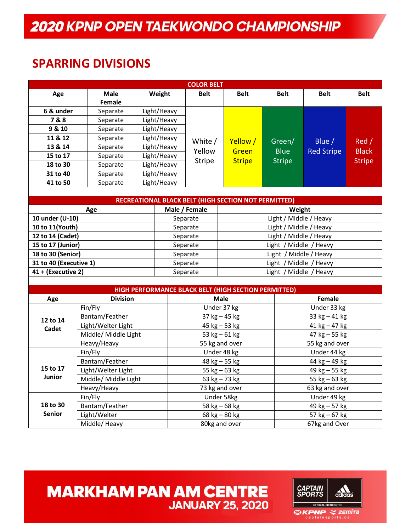#### **SPARRING DIVISIONS**

| <b>COLOR BELT</b>      |                      |             |             |                                    |                                                             |                        |                   |               |
|------------------------|----------------------|-------------|-------------|------------------------------------|-------------------------------------------------------------|------------------------|-------------------|---------------|
| Age                    | <b>Male</b>          |             | Weight      | <b>Belt</b>                        | <b>Belt</b>                                                 | <b>Belt</b>            | <b>Belt</b>       | <b>Belt</b>   |
|                        | Female               |             |             |                                    |                                                             |                        |                   |               |
| 6 & under              | Separate             | Light/Heavy |             |                                    |                                                             |                        |                   |               |
| 7&8                    | Separate             |             | Light/Heavy |                                    |                                                             |                        |                   |               |
| 9 & 10                 | Separate             |             | Light/Heavy |                                    |                                                             |                        |                   |               |
| 11 & 12                | Separate             |             | Light/Heavy | White /                            | Yellow /                                                    | Green/                 | Blue $/$          | Red /         |
| 13 & 14                | Separate             |             | Light/Heavy | Yellow                             | Green                                                       | <b>Blue</b>            | <b>Red Stripe</b> | <b>Black</b>  |
| 15 to 17               | Separate             |             | Light/Heavy | <b>Stripe</b>                      | <b>Stripe</b>                                               | <b>Stripe</b>          |                   |               |
| 18 to 30               | Separate             |             | Light/Heavy |                                    |                                                             |                        |                   | <b>Stripe</b> |
| 31 to 40               | Separate             |             | Light/Heavy |                                    |                                                             |                        |                   |               |
| 41 to 50               | Separate             |             | Light/Heavy |                                    |                                                             |                        |                   |               |
|                        |                      |             |             |                                    |                                                             |                        |                   |               |
|                        |                      |             |             |                                    | <b>RECREATIONAL BLACK BELT (HIGH SECTION NOT PERMITTED)</b> |                        |                   |               |
|                        | Age                  |             |             | Male / Female                      |                                                             | Weight                 |                   |               |
| 10 under (U-10)        |                      |             |             | Separate                           |                                                             | Light / Middle / Heavy |                   |               |
| 10 to 11(Youth)        |                      |             |             | Separate                           |                                                             | Light / Middle / Heavy |                   |               |
| 12 to 14 (Cadet)       |                      |             |             | Light / Middle / Heavy<br>Separate |                                                             |                        |                   |               |
| 15 to 17 (Junior)      |                      |             |             | Light / Middle / Heavy<br>Separate |                                                             |                        |                   |               |
| 18 to 30 (Senior)      |                      |             |             | Light / Middle / Heavy<br>Separate |                                                             |                        |                   |               |
| 31 to 40 (Executive 1) |                      |             |             | Separate                           | Light / Middle / Heavy                                      |                        |                   |               |
| 41 + (Executive 2)     |                      |             |             | Separate                           | Light / Middle / Heavy                                      |                        |                   |               |
|                        |                      |             |             |                                    |                                                             |                        |                   |               |
|                        |                      |             |             |                                    | HIGH PERFORMANCE BLACK BELT (HIGH SECTION PERMITTED)        |                        |                   |               |
| Age                    | <b>Division</b>      |             |             | <b>Male</b><br><b>Female</b>       |                                                             |                        |                   |               |
|                        | Fin/Fly              |             |             | Under 37 kg                        |                                                             |                        | Under 33 kg       |               |
| 12 to 14               | Bantam/Feather       |             |             | $37$ kg $-45$ kg                   |                                                             |                        | 33 $kg - 41 kg$   |               |
| Cadet                  | Light/Welter Light   |             |             | 45 $kg - 53 kg$                    |                                                             |                        | $41 kg - 47 kg$   |               |
|                        | Middle/ Middle Light |             |             | 53 $kg - 61$ kg                    |                                                             |                        | $47$ kg $-55$ kg  |               |
|                        | Heavy/Heavy          |             |             | 55 kg and over                     |                                                             |                        | 55 kg and over    |               |
|                        | Fin/Fly              |             |             | Under 48 kg                        |                                                             |                        | Under 44 kg       |               |
|                        | Bantam/Feather       |             |             | $48$ kg $-55$ kg                   |                                                             |                        | 44 kg - 49 kg     |               |
| 15 to 17               | Light/Welter Light   |             |             | 55 $kg - 63 kg$                    |                                                             |                        | 49 kg – 55 kg     |               |
| <b>Junior</b>          | Middle/ Middle Light |             |             |                                    | 63 $kg - 73 kg$                                             |                        | 55 $kg - 63 kg$   |               |
|                        | Heavy/Heavy          |             |             |                                    | 73 kg and over                                              |                        | 63 kg and over    |               |
|                        | Fin/Fly              |             |             |                                    | Under 58kg                                                  |                        | Under 49 kg       |               |
| 18 to 30               | Bantam/Feather       |             |             |                                    | 58 $kg - 68$ kg                                             |                        | 49 $kg - 57 kg$   |               |
| <b>Senior</b>          | Light/Welter         |             |             |                                    | 68 kg - 80 kg                                               |                        | 57 $kg - 67 kg$   |               |
|                        | Middle/ Heavy        |             |             | 80kg and over                      |                                                             |                        | 67kg and Over     |               |

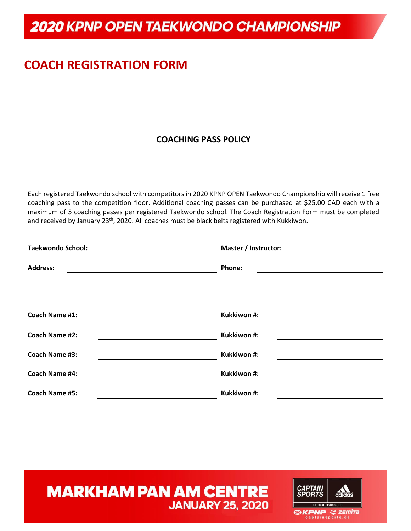## **COACH REGISTRATION FORM**

#### **COACHING PASS POLICY**

Each registered Taekwondo school with competitors in 2020 KPNP OPEN Taekwondo Championship will receive 1 free coaching pass to the competition floor. Additional coaching passes can be purchased at \$25.00 CAD each with a maximum of 5 coaching passes per registered Taekwondo school. The Coach Registration Form must be completed and received by January 23<sup>th</sup>, 2020. All coaches must be black belts registered with Kukkiwon.

| <b>Taekwondo School:</b> | Master / Instructor: |
|--------------------------|----------------------|
| <b>Address:</b>          | Phone:               |
|                          |                      |
|                          |                      |
| <b>Coach Name #1:</b>    | Kukkiwon #:          |
| <b>Coach Name #2:</b>    | Kukkiwon #:          |
| <b>Coach Name #3:</b>    | Kukkiwon #:          |
| <b>Coach Name #4:</b>    | Kukkiwon #:          |
| <b>Coach Name #5:</b>    | Kukkiwon #:          |

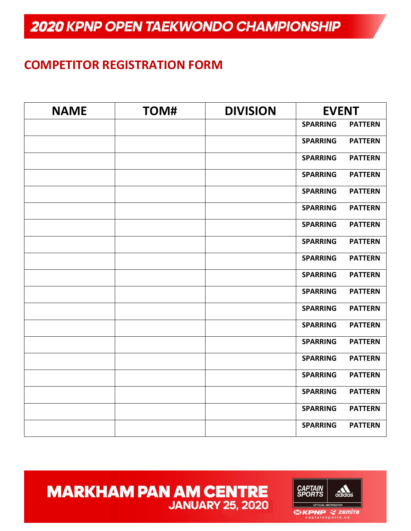#### **COMPETITOR REGISTRATION FORM**

| <b>NAME</b> | TOM# | <b>DIVISION</b> | <b>EVENT</b>    |                |
|-------------|------|-----------------|-----------------|----------------|
|             |      |                 | <b>SPARRING</b> | <b>PATTERN</b> |
|             |      |                 | <b>SPARRING</b> | <b>PATTERN</b> |
|             |      |                 | <b>SPARRING</b> | <b>PATTERN</b> |
|             |      |                 | <b>SPARRING</b> | <b>PATTERN</b> |
|             |      |                 | <b>SPARRING</b> | <b>PATTERN</b> |
|             |      |                 | <b>SPARRING</b> | <b>PATTERN</b> |
|             |      |                 | <b>SPARRING</b> | <b>PATTERN</b> |
|             |      |                 | <b>SPARRING</b> | <b>PATTERN</b> |
|             |      |                 | <b>SPARRING</b> | <b>PATTERN</b> |
|             |      |                 | <b>SPARRING</b> | <b>PATTERN</b> |
|             |      |                 | <b>SPARRING</b> | <b>PATTERN</b> |
|             |      |                 | <b>SPARRING</b> | <b>PATTERN</b> |
|             |      |                 | <b>SPARRING</b> | <b>PATTERN</b> |
|             |      |                 | <b>SPARRING</b> | <b>PATTERN</b> |
|             |      |                 | <b>SPARRING</b> | <b>PATTERN</b> |
|             |      |                 | <b>SPARRING</b> | <b>PATTERN</b> |
|             |      |                 | <b>SPARRING</b> | <b>PATTERN</b> |
|             |      |                 | <b>SPARRING</b> | <b>PATTERN</b> |
|             |      |                 | <b>SPARRING</b> | <b>PATTERN</b> |